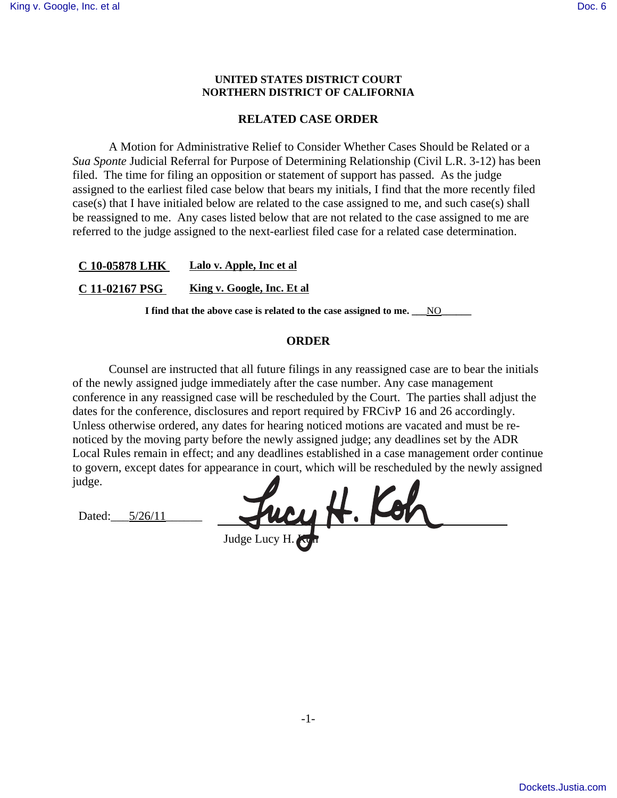## **UNITED STATES DISTRICT COURT NORTHERN DISTRICT OF CALIFORNIA**

## **RELATED CASE ORDER**

A Motion for Administrative Relief to Consider Whether Cases Should be Related or a *Sua Sponte* Judicial Referral for Purpose of Determining Relationship (Civil L.R. 3-12) has been filed. The time for filing an opposition or statement of support has passed. As the judge assigned to the earliest filed case below that bears my initials, I find that the more recently filed case(s) that I have initialed below are related to the case assigned to me, and such case(s) shall be reassigned to me. Any cases listed below that are not related to the case assigned to me are referred to the judge assigned to the next-earliest filed case for a related case determination.

**C 10-05878 LHK Lalo v. Apple, Inc et al**

**C 11-02167 PSG King v. Google, Inc. Et al**

I find that the above case is related to the case assigned to me. <u>NO</u>

## **ORDER**

Counsel are instructed that all future filings in any reassigned case are to bear the initials of the newly assigned judge immediately after the case number. Any case management conference in any reassigned case will be rescheduled by the Court. The parties shall adjust the dates for the conference, disclosures and report required by FRCivP 16 and 26 accordingly. Unless otherwise ordered, any dates for hearing noticed motions are vacated and must be renoticed by the moving party before the newly assigned judge; any deadlines set by the ADR Local Rules remain in effect; and any deadlines established in a case management order continue to govern, except dates for appearance in court, which will be rescheduled by the newly assigned judge.

Dated:  $5/26/11$ 

way H. Kob Judge Lucy H. Kyn